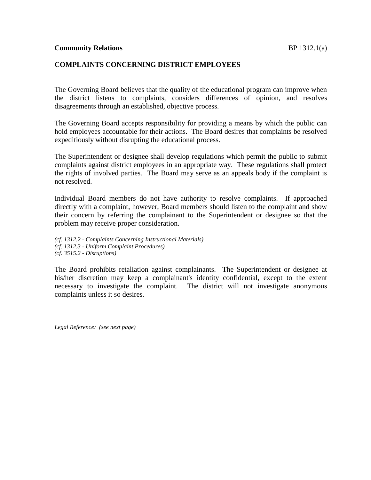#### **COMPLAINTS CONCERNING DISTRICT EMPLOYEES**

The Governing Board believes that the quality of the educational program can improve when the district listens to complaints, considers differences of opinion, and resolves disagreements through an established, objective process.

The Governing Board accepts responsibility for providing a means by which the public can hold employees accountable for their actions. The Board desires that complaints be resolved expeditiously without disrupting the educational process.

The Superintendent or designee shall develop regulations which permit the public to submit complaints against district employees in an appropriate way. These regulations shall protect the rights of involved parties. The Board may serve as an appeals body if the complaint is not resolved.

Individual Board members do not have authority to resolve complaints. If approached directly with a complaint, however, Board members should listen to the complaint and show their concern by referring the complainant to the Superintendent or designee so that the problem may receive proper consideration.

*(cf. 1312.2 - Complaints Concerning Instructional Materials) (cf. 1312.3 - Uniform Complaint Procedures) (cf. 3515.2 - Disruptions)*

The Board prohibits retaliation against complainants. The Superintendent or designee at his/her discretion may keep a complainant's identity confidential, except to the extent necessary to investigate the complaint. The district will not investigate anonymous complaints unless it so desires.

*Legal Reference: (see next page)*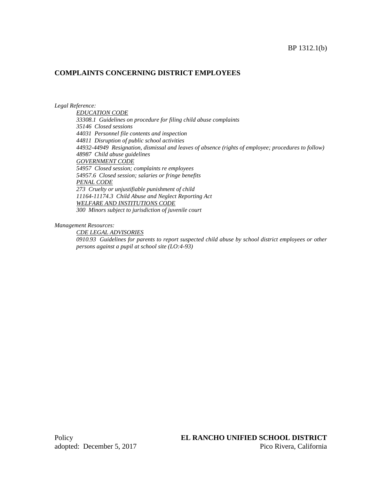## **COMPLAINTS CONCERNING DISTRICT EMPLOYEES**

#### *Legal Reference:*

*EDUCATION CODE 33308.1 Guidelines on procedure for filing child abuse complaints 35146 Closed sessions 44031 Personnel file contents and inspection 44811 Disruption of public school activities 44932-44949 Resignation, dismissal and leaves of absence (rights of employee; procedures to follow) 48987 Child abuse guidelines GOVERNMENT CODE 54957 Closed session; complaints re employees 54957.6 Closed session; salaries or fringe benefits PENAL CODE 273 Cruelty or unjustifiable punishment of child 11164-11174.3 Child Abuse and Neglect Reporting Act WELFARE AND INSTITUTIONS CODE 300 Minors subject to jurisdiction of juvenile court*

*Management Resources:*

*CDE LEGAL ADVISORIES*

*0910.93 Guidelines for parents to report suspected child abuse by school district employees or other persons against a pupil at school site (LO:4-93)*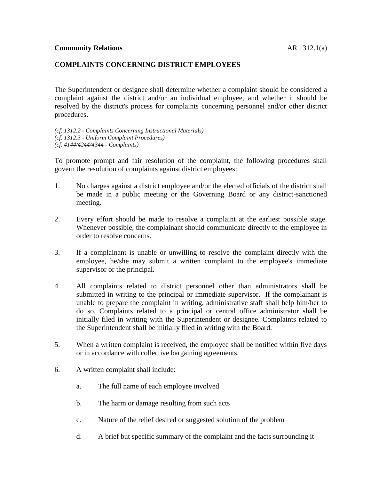### **COMPLAINTS CONCERNING DISTRICT EMPLOYEES**

The Superintendent or designee shall determine whether a complaint should be considered a complaint against the district and/or an individual employee, and whether it should be resolved by the district's process for complaints concerning personnel and/or other district procedures.

*(cf. 1312.2 - Complaints Concerning Instructional Materials) (cf. 1312.3 - Uniform Complaint Procedures) (cf. 4144/4244/4344 - Complaints)*

To promote prompt and fair resolution of the complaint, the following procedures shall govern the resolution of complaints against district employees:

- 1. No charges against a district employee and/or the elected officials of the district shall be made in a public meeting or the Governing Board or any district-sanctioned meeting.
- 2. Every effort should be made to resolve a complaint at the earliest possible stage. Whenever possible, the complainant should communicate directly to the employee in order to resolve concerns.
- 3. If a complainant is unable or unwilling to resolve the complaint directly with the employee, he/she may submit a written complaint to the employee's immediate supervisor or the principal.
- 4. All complaints related to district personnel other than administrators shall be submitted in writing to the principal or immediate supervisor. If the complainant is unable to prepare the complaint in writing, administrative staff shall help him/her to do so. Complaints related to a principal or central office administrator shall be initially filed in writing with the Superintendent or designee. Complaints related to the Superintendent shall be initially filed in writing with the Board.
- 5. When a written complaint is received, the employee shall be notified within five days or in accordance with collective bargaining agreements.
- 6. A written complaint shall include:
	- a. The full name of each employee involved
	- b. The harm or damage resulting from such acts
	- c. Nature of the relief desired or suggested solution of the problem
	- d. A brief but specific summary of the complaint and the facts surrounding it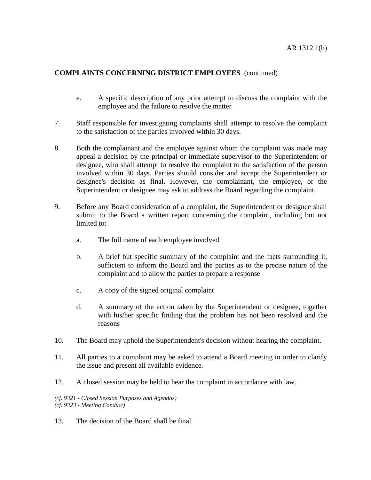# **COMPLAINTS CONCERNING DISTRICT EMPLOYEES** (continued)

- e. A specific description of any prior attempt to discuss the complaint with the employee and the failure to resolve the matter
- 7. Staff responsible for investigating complaints shall attempt to resolve the complaint to the satisfaction of the parties involved within 30 days.
- 8. Both the complainant and the employee against whom the complaint was made may appeal a decision by the principal or immediate supervisor to the Superintendent or designee, who shall attempt to resolve the complaint to the satisfaction of the person involved within 30 days. Parties should consider and accept the Superintendent or designee's decision as final. However, the complainant, the employee, or the Superintendent or designee may ask to address the Board regarding the complaint.
- 9. Before any Board consideration of a complaint, the Superintendent or designee shall submit to the Board a written report concerning the complaint, including but not limited to:
	- a. The full name of each employee involved
	- b. A brief but specific summary of the complaint and the facts surrounding it, sufficient to inform the Board and the parties as to the precise nature of the complaint and to allow the parties to prepare a response
	- c. A copy of the signed original complaint
	- d. A summary of the action taken by the Superintendent or designee, together with his/her specific finding that the problem has not been resolved and the reasons
- 10. The Board may uphold the Superintendent's decision without hearing the complaint.
- 11. All parties to a complaint may be asked to attend a Board meeting in order to clarify the issue and present all available evidence.
- 12. A closed session may be held to hear the complaint in accordance with law.

*(cf. 9321 - Closed Session Purposes and Agendas) (cf. 9323 - Meeting Conduct)*

13. The decision of the Board shall be final.